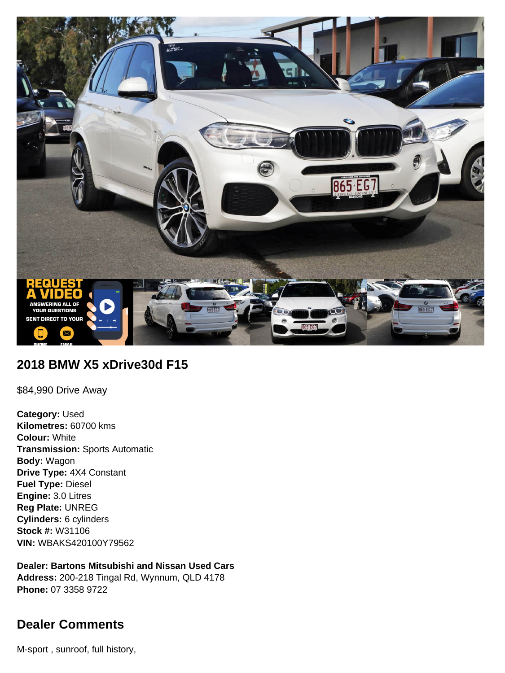

# **2018 BMW X5 xDrive30d F15**

\$84,990 Drive Away

**Category:** Used **Kilometres:** 60700 kms **Colour:** White **Transmission:** Sports Automatic **Body:** Wagon **Drive Type:** 4X4 Constant **Fuel Type:** Diesel **Engine:** 3.0 Litres **Reg Plate:** UNREG **Cylinders:** 6 cylinders **Stock #:** W31106 **VIN:** WBAKS420100Y79562

**Dealer: Bartons Mitsubishi and Nissan Used Cars Address:** 200-218 Tingal Rd, Wynnum, QLD 4178 **Phone:** 07 3358 9722

# **Dealer Comments**

M-sport , sunroof, full history,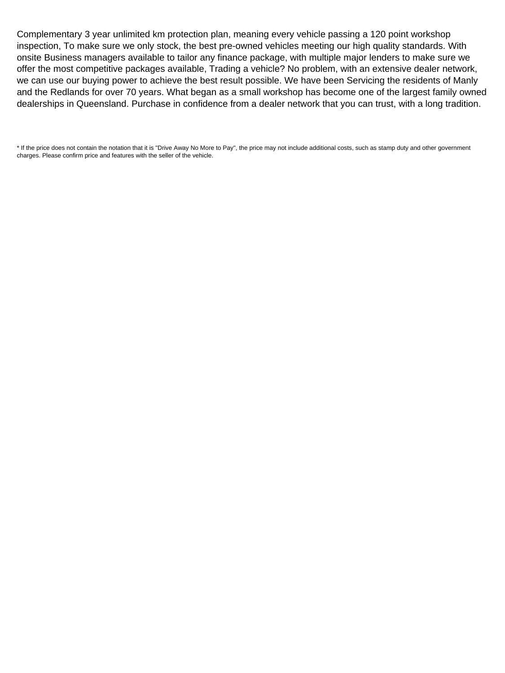Complementary 3 year unlimited km protection plan, meaning every vehicle passing a 120 point workshop inspection, To make sure we only stock, the best pre-owned vehicles meeting our high quality standards. With onsite Business managers available to tailor any finance package, with multiple major lenders to make sure we offer the most competitive packages available, Trading a vehicle? No problem, with an extensive dealer network, we can use our buying power to achieve the best result possible. We have been Servicing the residents of Manly and the Redlands for over 70 years. What began as a small workshop has become one of the largest family owned dealerships in Queensland. Purchase in confidence from a dealer network that you can trust, with a long tradition.

\* If the price does not contain the notation that it is "Drive Away No More to Pay", the price may not include additional costs, such as stamp duty and other government charges. Please confirm price and features with the seller of the vehicle.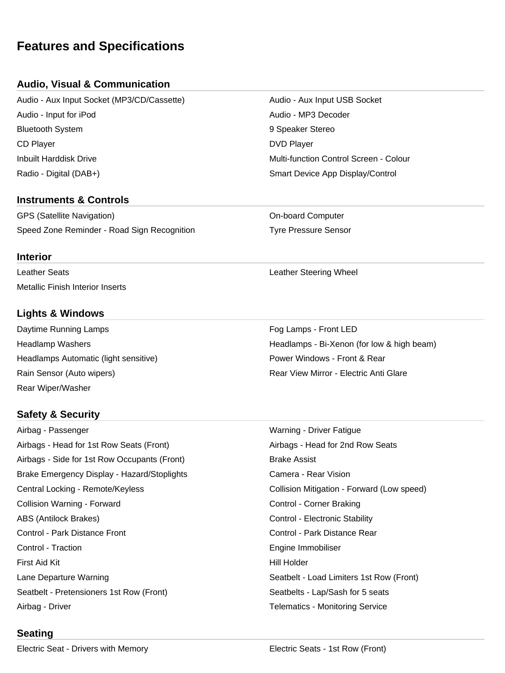# **Features and Specifications**

# **Audio, Visual & Communication**

Audio - Aux Input Socket (MP3/CD/Cassette) Audio - Aux Input USB Socket Audio - Input for iPod Audio - MP3 Decoder Bluetooth System 9 Speaker Stereo CD Player DVD Player Inbuilt Harddisk Drive Multi-function Control Screen - Colour Radio - Digital (DAB+) Smart Device App Display/Control

#### **Instruments & Controls**

GPS (Satellite Navigation) Computer Computer Computer Speed Zone Reminder - Road Sign Recognition Tyre Pressure Sensor

#### **Interior**

Leather Seats **Leather Seats** Leather Steering Wheel Metallic Finish Interior Inserts

### **Lights & Windows**

Daytime Running Lamps **Four Let us and Container Container** Fog Lamps - Front LED Headlamps Automatic (light sensitive) example and the Power Windows - Front & Rear Rain Sensor (Auto wipers) The Community Rear View Mirror - Electric Anti Glare Rear Wiper/Washer

# **Safety & Security**

Airbag - Passenger Warning - Driver Fatigue Airbags - Head for 1st Row Seats (Front) Airbags - Head for 2nd Row Seats Airbags - Side for 1st Row Occupants (Front) Brake Assist Brake Emergency Display - Hazard/Stoplights **Camera - Rear Vision** Camera - Rear Vision Central Locking - Remote/Keyless Collision Mitigation - Forward (Low speed) Collision Warning - Forward **Collision Warning - Forward Collision Corner Braking** ABS (Antilock Brakes) The Control - Electronic Stability Control - Park Distance Front Control - Park Distance Rear Control - Traction **Engine Immobiliser** Engine Immobiliser First Aid Kit **Hill Holder First Aid Kit Hill Holder** Lane Departure Warning The Seath Coal Limiters 1st Row (Front) Seatbelt - Pretensioners 1st Row (Front) Seatbelts - Lap/Sash for 5 seats Airbag - Driver **Telematics - Monitoring Service Telematics - Monitoring Service** 

Headlamp Washers **Headlamps** - Bi-Xenon (for low & high beam)

#### **Seating**

Electric Seat - Drivers with Memory Electric Seats - 1st Row (Front)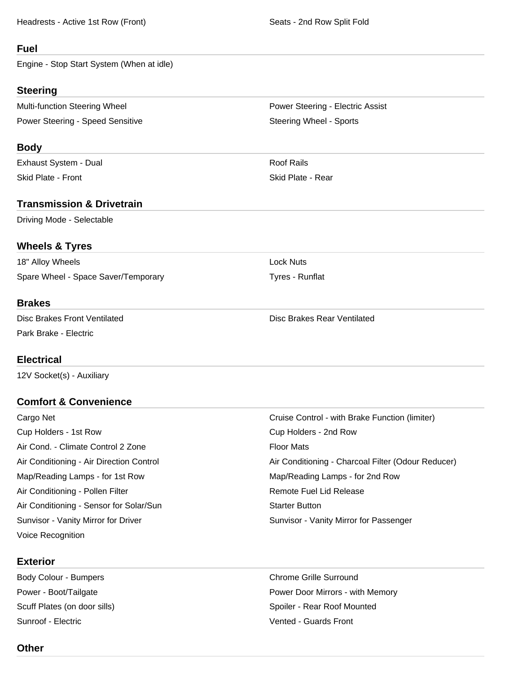Headrests - Active 1st Row (Front) Seats - 2nd Row Split Fold

#### **Fuel**

Engine - Stop Start System (When at idle)

#### **Steering**

Multi-function Steering Wheel **Power Steering - Electric Assist** Power Steering - Electric Assist Power Steering - Speed Sensitive Steering Wheel - Sports

#### **Body**

Exhaust System - Dual Roof Rails Skid Plate - Front **Skid Plate - Rear** Skid Plate - Rear

## **Transmission & Drivetrain**

Driving Mode - Selectable

## **Wheels & Tyres**

18" Alloy Wheels **Lock Nuts** Spare Wheel - Space Saver/Temporary Tyres - Runflat

#### **Brakes**

Park Brake - Electric

### **Electrical**

12V Socket(s) - Auxiliary

# **Comfort & Convenience**

Cargo Net Cruise Control - with Brake Function (limiter) Cup Holders - 1st Row Cup Holders - 2nd Row Air Cond. - Climate Control 2 Zone Floor Mats Air Conditioning - Air Direction Control **Air Conditioning - Charcoal Filter (Odour Reducer)** Air Conditioning - Charcoal Filter (Odour Reducer) Map/Reading Lamps - for 1st Row Map/Reading Lamps - for 2nd Row Air Conditioning - Pollen Filter **Remote Fuel Lid Release** Air Conditioning - Sensor for Solar/Sun Stater Button Starter Button Sunvisor - Vanity Mirror for Driver Sunvisor - Vanity Mirror for Passenger Voice Recognition

# **Exterior**

Body Colour - Bumpers Chrome Grille Surround Sunroof - Electric Vented - Guards Front

Disc Brakes Front Ventilated **Disc Brakes Rear Ventilated** Disc Brakes Rear Ventilated

Power - Boot/Tailgate **Power Door Mirrors - with Memory** Power Door Mirrors - with Memory Scuff Plates (on door sills) Spoiler - Rear Roof Mounted

#### **Other**